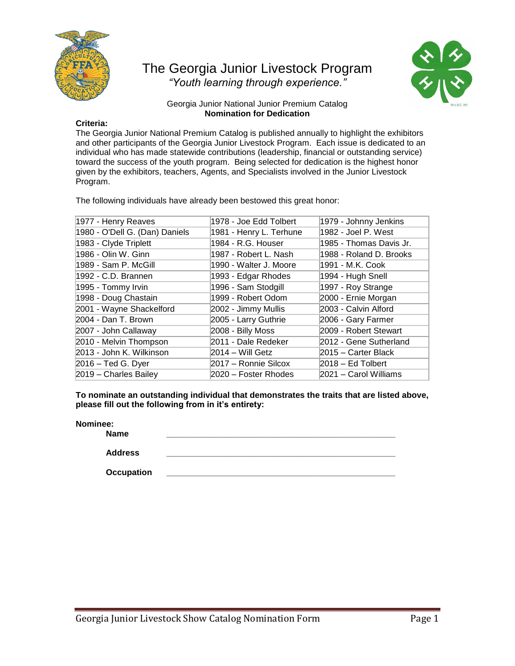

## The Georgia Junior Livestock Program *"Youth learning through experience."*



## Georgia Junior National Junior Premium Catalog **Nomination for Dedication**

## **Criteria:**

The Georgia Junior National Premium Catalog is published annually to highlight the exhibitors and other participants of the Georgia Junior Livestock Program. Each issue is dedicated to an individual who has made statewide contributions (leadership, financial or outstanding service) toward the success of the youth program. Being selected for dedication is the highest honor given by the exhibitors, teachers, Agents, and Specialists involved in the Junior Livestock Program.

The following individuals have already been bestowed this great honor:

| 1978 - Joe Edd Tolbert  | 1979 - Johnny Jenkins   |
|-------------------------|-------------------------|
| 1981 - Henry L. Terhune | 1982 - Joel P. West     |
| 1984 - R.G. Houser      | 1985 - Thomas Davis Jr. |
| 1987 - Robert L. Nash   | 1988 - Roland D. Brooks |
| 1990 - Walter J. Moore  | 1991 - M.K. Cook        |
| 1993 - Edgar Rhodes     | 1994 - Hugh Snell       |
| 1996 - Sam Stodgill     | 1997 - Roy Strange      |
| 1999 - Robert Odom      | 2000 - Ernie Morgan     |
| 2002 - Jimmy Mullis     | 2003 - Calvin Alford    |
| 2005 - Larry Guthrie    | 2006 - Gary Farmer      |
| 2008 - Billy Moss       | 2009 - Robert Stewart   |
| 2011 - Dale Redeker     | 2012 - Gene Sutherland  |
| 2014 – Will Getz        | 2015 – Carter Black     |
| 2017 - Ronnie Silcox    | $2018 - Ed$ Tolbert     |
| 2020 – Foster Rhodes    | 2021 – Carol Williams   |
|                         |                         |

**To nominate an outstanding individual that demonstrates the traits that are listed above, please fill out the following from in it's entirety:**

## **Nominee:**

**Name \_\_\_\_\_\_\_\_\_\_\_\_\_\_\_\_\_\_\_\_\_\_\_\_\_\_\_\_\_\_\_\_\_\_\_\_\_\_\_\_\_\_\_\_\_\_\_\_\_**

**Address \_\_\_\_\_\_\_\_\_\_\_\_\_\_\_\_\_\_\_\_\_\_\_\_\_\_\_\_\_\_\_\_\_\_\_\_\_\_\_\_\_\_\_\_\_\_\_\_\_**

**Occupation \_\_\_\_\_\_\_\_\_\_\_\_\_\_\_\_\_\_\_\_\_\_\_\_\_\_\_\_\_\_\_\_\_\_\_\_\_\_\_\_\_\_\_\_\_\_\_\_\_**